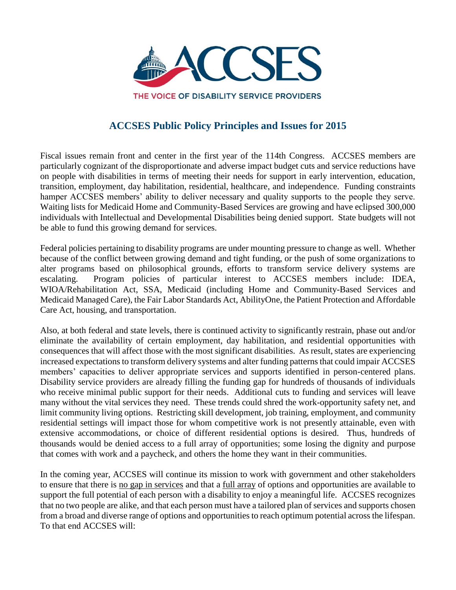

# **ACCSES Public Policy Principles and Issues for 2015**

Fiscal issues remain front and center in the first year of the 114th Congress. ACCSES members are particularly cognizant of the disproportionate and adverse impact budget cuts and service reductions have on people with disabilities in terms of meeting their needs for support in early intervention, education, transition, employment, day habilitation, residential, healthcare, and independence. Funding constraints hamper ACCSES members' ability to deliver necessary and quality supports to the people they serve. Waiting lists for Medicaid Home and Community-Based Services are growing and have eclipsed 300,000 individuals with Intellectual and Developmental Disabilities being denied support. State budgets will not be able to fund this growing demand for services.

Federal policies pertaining to disability programs are under mounting pressure to change as well. Whether because of the conflict between growing demand and tight funding, or the push of some organizations to alter programs based on philosophical grounds, efforts to transform service delivery systems are escalating. Program policies of particular interest to ACCSES members include: IDEA, WIOA/Rehabilitation Act, SSA, Medicaid (including Home and Community-Based Services and Medicaid Managed Care), the Fair Labor Standards Act, AbilityOne, the Patient Protection and Affordable Care Act, housing, and transportation.

Also, at both federal and state levels, there is continued activity to significantly restrain, phase out and/or eliminate the availability of certain employment, day habilitation, and residential opportunities with consequences that will affect those with the most significant disabilities. As result, states are experiencing increased expectations to transform delivery systems and alter funding patterns that could impair ACCSES members' capacities to deliver appropriate services and supports identified in person-centered plans. Disability service providers are already filling the funding gap for hundreds of thousands of individuals who receive minimal public support for their needs. Additional cuts to funding and services will leave many without the vital services they need. These trends could shred the work-opportunity safety net, and limit community living options. Restricting skill development, job training, employment, and community residential settings will impact those for whom competitive work is not presently attainable, even with extensive accommodations, or choice of different residential options is desired. Thus, hundreds of thousands would be denied access to a full array of opportunities; some losing the dignity and purpose that comes with work and a paycheck, and others the home they want in their communities.

In the coming year, ACCSES will continue its mission to work with government and other stakeholders to ensure that there is no gap in services and that a full array of options and opportunities are available to support the full potential of each person with a disability to enjoy a meaningful life. ACCSES recognizes that no two people are alike, and that each person must have a tailored plan of services and supports chosen from a broad and diverse range of options and opportunities to reach optimum potential across the lifespan. To that end ACCSES will: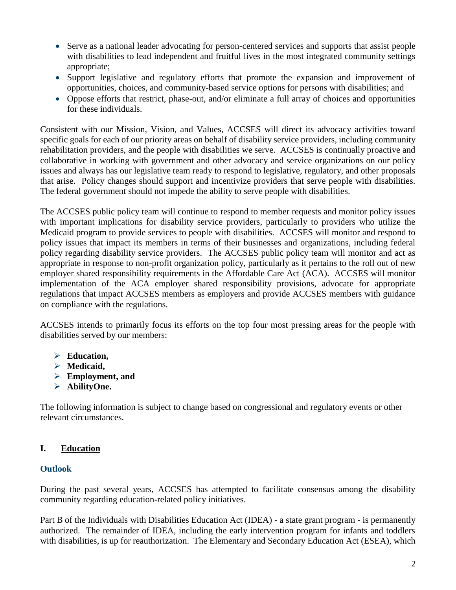- Serve as a national leader advocating for person-centered services and supports that assist people with disabilities to lead independent and fruitful lives in the most integrated community settings appropriate;
- Support legislative and regulatory efforts that promote the expansion and improvement of opportunities, choices, and community-based service options for persons with disabilities; and
- Oppose efforts that restrict, phase-out, and/or eliminate a full array of choices and opportunities for these individuals.

Consistent with our Mission, Vision, and Values, ACCSES will direct its advocacy activities toward specific goals for each of our priority areas on behalf of disability service providers, including community rehabilitation providers, and the people with disabilities we serve. ACCSES is continually proactive and collaborative in working with government and other advocacy and service organizations on our policy issues and always has our legislative team ready to respond to legislative, regulatory, and other proposals that arise. Policy changes should support and incentivize providers that serve people with disabilities. The federal government should not impede the ability to serve people with disabilities.

The ACCSES public policy team will continue to respond to member requests and monitor policy issues with important implications for disability service providers, particularly to providers who utilize the Medicaid program to provide services to people with disabilities. ACCSES will monitor and respond to policy issues that impact its members in terms of their businesses and organizations, including federal policy regarding disability service providers. The ACCSES public policy team will monitor and act as appropriate in response to non-profit organization policy, particularly as it pertains to the roll out of new employer shared responsibility requirements in the Affordable Care Act (ACA). ACCSES will monitor implementation of the ACA employer shared responsibility provisions, advocate for appropriate regulations that impact ACCSES members as employers and provide ACCSES members with guidance on compliance with the regulations.

ACCSES intends to primarily focus its efforts on the top four most pressing areas for the people with disabilities served by our members:

- **Education,**
- **Medicaid,**
- **Employment, and**
- **AbilityOne.**

The following information is subject to change based on congressional and regulatory events or other relevant circumstances.

# **I. Education**

#### **Outlook**

During the past several years, ACCSES has attempted to facilitate consensus among the disability community regarding education-related policy initiatives.

Part B of the Individuals with Disabilities Education Act (IDEA) - a state grant program - is permanently authorized. The remainder of IDEA, including the early intervention program for infants and toddlers with disabilities, is up for reauthorization. The Elementary and Secondary Education Act (ESEA), which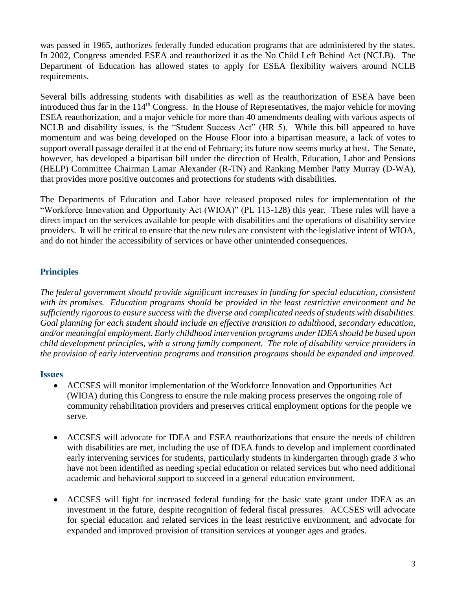was passed in 1965, authorizes federally funded education programs that are administered by the states. In 2002, Congress amended ESEA and reauthorized it as the No Child Left Behind Act (NCLB). The Department of Education has allowed states to apply for ESEA flexibility waivers around NCLB requirements.

Several bills addressing students with disabilities as well as the reauthorization of ESEA have been introduced thus far in the 114<sup>th</sup> Congress. In the House of Representatives, the major vehicle for moving ESEA reauthorization, and a major vehicle for more than 40 amendments dealing with various aspects of NCLB and disability issues, is the "Student Success Act" (HR 5). While this bill appeared to have momentum and was being developed on the House Floor into a bipartisan measure, a lack of votes to support overall passage derailed it at the end of February; its future now seems murky at best. The Senate, however, has developed a bipartisan bill under the direction of Health, Education, Labor and Pensions (HELP) Committee Chairman Lamar Alexander (R-TN) and Ranking Member Patty Murray (D-WA), that provides more positive outcomes and protections for students with disabilities.

The Departments of Education and Labor have released proposed rules for implementation of the "Workforce Innovation and Opportunity Act (WIOA)" (PL 113-128) this year. These rules will have a direct impact on the services available for people with disabilities and the operations of disability service providers. It will be critical to ensure that the new rules are consistent with the legislative intent of WIOA, and do not hinder the accessibility of services or have other unintended consequences.

# **Principles**

*The federal government should provide significant increases in funding for special education, consistent with its promises. Education programs should be provided in the least restrictive environment and be sufficiently rigorous to ensure success with the diverse and complicated needs of students with disabilities. Goal planning for each student should include an effective transition to adulthood, secondary education, and/or meaningful employment. Early childhood intervention programs under IDEA should be based upon child development principles, with a strong family component. The role of disability service providers in the provision of early intervention programs and transition programs should be expanded and improved.*

#### **Issues**

- ACCSES will monitor implementation of the Workforce Innovation and Opportunities Act (WIOA) during this Congress to ensure the rule making process preserves the ongoing role of community rehabilitation providers and preserves critical employment options for the people we serve.
- ACCSES will advocate for IDEA and ESEA reauthorizations that ensure the needs of children with disabilities are met, including the use of IDEA funds to develop and implement coordinated early intervening services for students, particularly students in kindergarten through grade 3 who have not been identified as needing special education or related services but who need additional academic and behavioral support to succeed in a general education environment.
- ACCSES will fight for increased federal funding for the basic state grant under IDEA as an investment in the future, despite recognition of federal fiscal pressures. ACCSES will advocate for special education and related services in the least restrictive environment, and advocate for expanded and improved provision of transition services at younger ages and grades.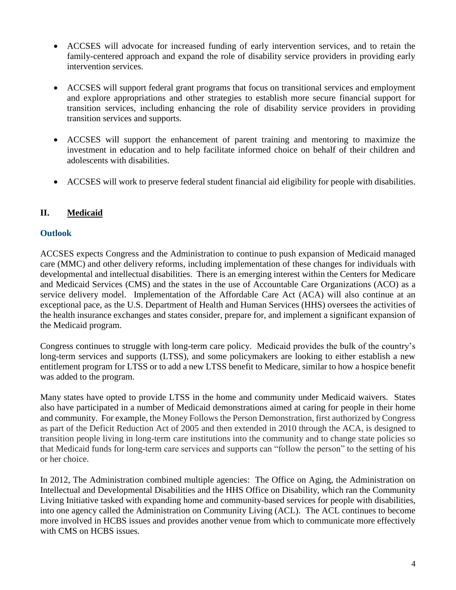- ACCSES will advocate for increased funding of early intervention services, and to retain the family-centered approach and expand the role of disability service providers in providing early intervention services.
- ACCSES will support federal grant programs that focus on transitional services and employment and explore appropriations and other strategies to establish more secure financial support for transition services, including enhancing the role of disability service providers in providing transition services and supports.
- ACCSES will support the enhancement of parent training and mentoring to maximize the investment in education and to help facilitate informed choice on behalf of their children and adolescents with disabilities.
- ACCSES will work to preserve federal student financial aid eligibility for people with disabilities.

# **II. Medicaid**

#### **Outlook**

ACCSES expects Congress and the Administration to continue to push expansion of Medicaid managed care (MMC) and other delivery reforms, including implementation of these changes for individuals with developmental and intellectual disabilities. There is an emerging interest within the Centers for Medicare and Medicaid Services (CMS) and the states in the use of Accountable Care Organizations (ACO) as a service delivery model. Implementation of the Affordable Care Act (ACA) will also continue at an exceptional pace, as the U.S. Department of Health and Human Services (HHS) oversees the activities of the health insurance exchanges and states consider, prepare for, and implement a significant expansion of the Medicaid program.

Congress continues to struggle with long-term care policy. Medicaid provides the bulk of the country's long-term services and supports (LTSS), and some policymakers are looking to either establish a new entitlement program for LTSS or to add a new LTSS benefit to Medicare, similar to how a hospice benefit was added to the program.

Many states have opted to provide LTSS in the home and community under Medicaid waivers. States also have participated in a number of Medicaid demonstrations aimed at caring for people in their home and community. For example, the Money Follows the Person Demonstration, first authorized by Congress as part of the Deficit Reduction Act of 2005 and then extended in 2010 through the ACA, is designed to transition people living in long-term care institutions into the community and to change state policies so that Medicaid funds for long-term care services and supports can "follow the person" to the setting of his or her choice.

In 2012, The Administration combined multiple agencies: The Office on Aging, the Administration on Intellectual and Developmental Disabilities and the HHS Office on Disability, which ran the Community Living Initiative tasked with expanding home and community-based services for people with disabilities, into one agency called the Administration on Community Living (ACL). The ACL continues to become more involved in HCBS issues and provides another venue from which to communicate more effectively with CMS on HCBS issues.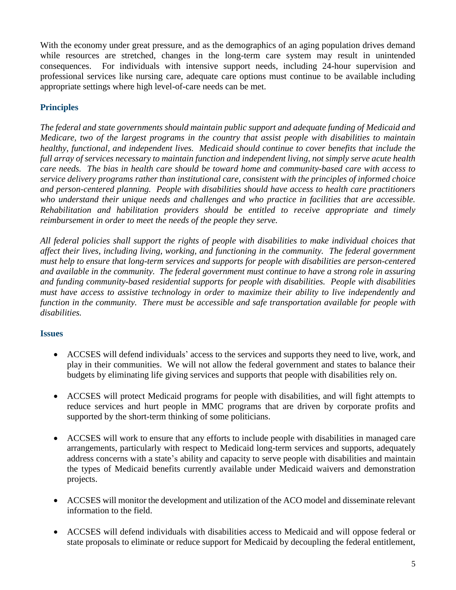With the economy under great pressure, and as the demographics of an aging population drives demand while resources are stretched, changes in the long-term care system may result in unintended consequences. For individuals with intensive support needs, including 24-hour supervision and professional services like nursing care, adequate care options must continue to be available including appropriate settings where high level-of-care needs can be met.

# **Principles**

*The federal and state governments should maintain public support and adequate funding of Medicaid and Medicare, two of the largest programs in the country that assist people with disabilities to maintain healthy, functional, and independent lives. Medicaid should continue to cover benefits that include the full array of services necessary to maintain function and independent living, not simply serve acute health care needs. The bias in health care should be toward home and community-based care with access to service delivery programs rather than institutional care, consistent with the principles of informed choice and person-centered planning. People with disabilities should have access to health care practitioners who understand their unique needs and challenges and who practice in facilities that are accessible. Rehabilitation and habilitation providers should be entitled to receive appropriate and timely reimbursement in order to meet the needs of the people they serve.*

*All federal policies shall support the rights of people with disabilities to make individual choices that affect their lives, including living, working, and functioning in the community. The federal government must help to ensure that long-term services and supports for people with disabilities are person-centered and available in the community. The federal government must continue to have a strong role in assuring and funding community-based residential supports for people with disabilities. People with disabilities must have access to assistive technology in order to maximize their ability to live independently and function in the community. There must be accessible and safe transportation available for people with disabilities.*

#### **Issues**

- ACCSES will defend individuals' access to the services and supports they need to live, work, and play in their communities. We will not allow the federal government and states to balance their budgets by eliminating life giving services and supports that people with disabilities rely on.
- ACCSES will protect Medicaid programs for people with disabilities, and will fight attempts to reduce services and hurt people in MMC programs that are driven by corporate profits and supported by the short-term thinking of some politicians.
- ACCSES will work to ensure that any efforts to include people with disabilities in managed care arrangements, particularly with respect to Medicaid long-term services and supports, adequately address concerns with a state's ability and capacity to serve people with disabilities and maintain the types of Medicaid benefits currently available under Medicaid waivers and demonstration projects.
- ACCSES will monitor the development and utilization of the ACO model and disseminate relevant information to the field.
- ACCSES will defend individuals with disabilities access to Medicaid and will oppose federal or state proposals to eliminate or reduce support for Medicaid by decoupling the federal entitlement,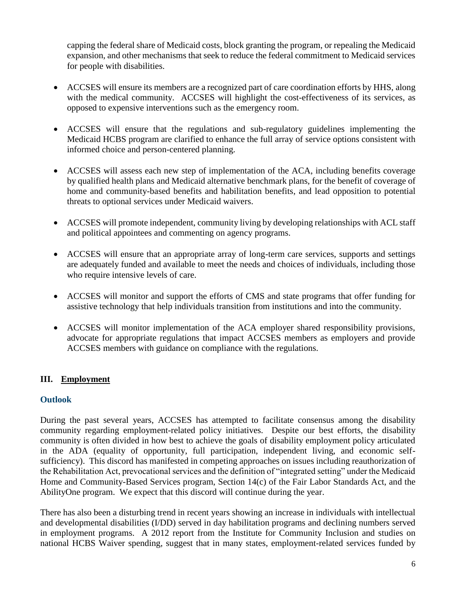capping the federal share of Medicaid costs, block granting the program, or repealing the Medicaid expansion, and other mechanisms that seek to reduce the federal commitment to Medicaid services for people with disabilities.

- ACCSES will ensure its members are a recognized part of care coordination efforts by HHS, along with the medical community. ACCSES will highlight the cost-effectiveness of its services, as opposed to expensive interventions such as the emergency room.
- ACCSES will ensure that the regulations and sub-regulatory guidelines implementing the Medicaid HCBS program are clarified to enhance the full array of service options consistent with informed choice and person-centered planning.
- ACCSES will assess each new step of implementation of the ACA, including benefits coverage by qualified health plans and Medicaid alternative benchmark plans, for the benefit of coverage of home and community-based benefits and habilitation benefits, and lead opposition to potential threats to optional services under Medicaid waivers.
- ACCSES will promote independent, community living by developing relationships with ACL staff and political appointees and commenting on agency programs.
- ACCSES will ensure that an appropriate array of long-term care services, supports and settings are adequately funded and available to meet the needs and choices of individuals, including those who require intensive levels of care.
- ACCSES will monitor and support the efforts of CMS and state programs that offer funding for assistive technology that help individuals transition from institutions and into the community.
- ACCSES will monitor implementation of the ACA employer shared responsibility provisions, advocate for appropriate regulations that impact ACCSES members as employers and provide ACCSES members with guidance on compliance with the regulations.

#### **III. Employment**

#### **Outlook**

During the past several years, ACCSES has attempted to facilitate consensus among the disability community regarding employment-related policy initiatives. Despite our best efforts, the disability community is often divided in how best to achieve the goals of disability employment policy articulated in the ADA (equality of opportunity, full participation, independent living, and economic selfsufficiency). This discord has manifested in competing approaches on issues including reauthorization of the Rehabilitation Act, prevocational services and the definition of "integrated setting" under the Medicaid Home and Community-Based Services program, Section 14(c) of the Fair Labor Standards Act, and the AbilityOne program. We expect that this discord will continue during the year.

There has also been a disturbing trend in recent years showing an increase in individuals with intellectual and developmental disabilities (I/DD) served in day habilitation programs and declining numbers served in employment programs. A 2012 report from the [Institute for Community](http://statedata.info/statedatabook/) Inclusion and studies on national HCBS Waiver spending, suggest that in many states, employment-related services funded by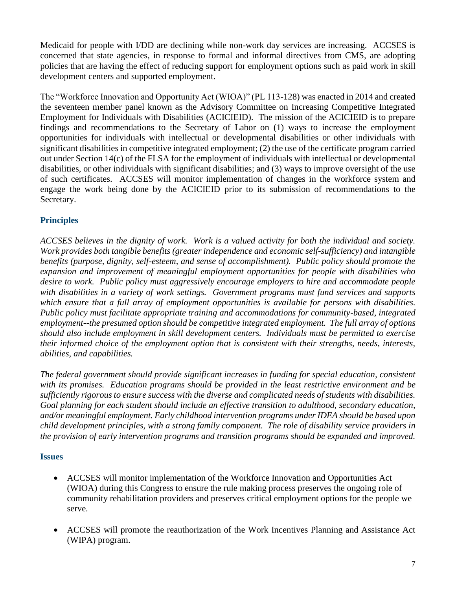Medicaid for people with I/DD are declining while non-work day services are increasing. ACCSES is concerned that state agencies, in response to formal and informal directives from CMS, are adopting policies that are having the effect of reducing support for employment options such as paid work in skill development centers and supported employment.

The "Workforce Innovation and Opportunity Act (WIOA)" (PL 113-128) was enacted in 2014 and created the seventeen member panel known as the Advisory Committee on Increasing Competitive Integrated Employment for Individuals with Disabilities (ACICIEID). The mission of the ACICIEID is to prepare findings and recommendations to the Secretary of Labor on (1) ways to increase the employment opportunities for individuals with intellectual or developmental disabilities or other individuals with significant disabilities in competitive integrated employment; (2) the use of the certificate program carried out under Section 14(c) of the FLSA for the employment of individuals with intellectual or developmental disabilities, or other individuals with significant disabilities; and (3) ways to improve oversight of the use of such certificates. ACCSES will monitor implementation of changes in the workforce system and engage the work being done by the ACICIEID prior to its submission of recommendations to the Secretary.

# **Principles**

*ACCSES believes in the dignity of work. Work is a valued activity for both the individual and society. Work provides both tangible benefits (greater independence and economic self-sufficiency) and intangible benefits (purpose, dignity, self-esteem, and sense of accomplishment). Public policy should promote the expansion and improvement of meaningful employment opportunities for people with disabilities who desire to work. Public policy must aggressively encourage employers to hire and accommodate people with disabilities in a variety of work settings. Government programs must fund services and supports which ensure that a full array of employment opportunities is available for persons with disabilities. Public policy must facilitate appropriate training and accommodations for community-based, integrated employment--the presumed option should be competitive integrated employment. The full array of options should also include employment in skill development centers. Individuals must be permitted to exercise their informed choice of the employment option that is consistent with their strengths, needs, interests, abilities, and capabilities.*

*The federal government should provide significant increases in funding for special education, consistent with its promises. Education programs should be provided in the least restrictive environment and be sufficiently rigorous to ensure success with the diverse and complicated needs of students with disabilities. Goal planning for each student should include an effective transition to adulthood, secondary education, and/or meaningful employment. Early childhood intervention programs under IDEA should be based upon child development principles, with a strong family component. The role of disability service providers in the provision of early intervention programs and transition programs should be expanded and improved.*

#### **Issues**

- ACCSES will monitor implementation of the Workforce Innovation and Opportunities Act (WIOA) during this Congress to ensure the rule making process preserves the ongoing role of community rehabilitation providers and preserves critical employment options for the people we serve.
- ACCSES will promote the reauthorization of the Work Incentives Planning and Assistance Act (WIPA) program.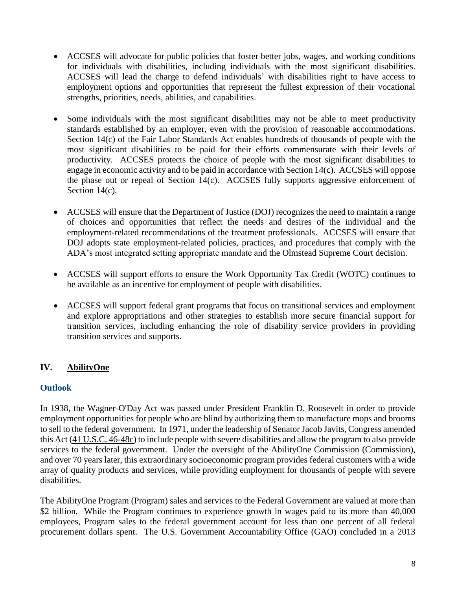- ACCSES will advocate for public policies that foster better jobs, wages, and working conditions for individuals with disabilities, including individuals with the most significant disabilities. ACCSES will lead the charge to defend individuals' with disabilities right to have access to employment options and opportunities that represent the fullest expression of their vocational strengths, priorities, needs, abilities, and capabilities.
- Some individuals with the most significant disabilities may not be able to meet productivity standards established by an employer, even with the provision of reasonable accommodations. Section 14(c) of the Fair Labor Standards Act enables hundreds of thousands of people with the most significant disabilities to be paid for their efforts commensurate with their levels of productivity. ACCSES protects the choice of people with the most significant disabilities to engage in economic activity and to be paid in accordance with Section 14(c). ACCSES will oppose the phase out or repeal of Section 14(c). ACCSES fully supports aggressive enforcement of Section 14(c).
- ACCSES will ensure that the Department of Justice (DOJ) recognizes the need to maintain a range of choices and opportunities that reflect the needs and desires of the individual and the employment-related recommendations of the treatment professionals. ACCSES will ensure that DOJ adopts state employment-related policies, practices, and procedures that comply with the ADA's most integrated setting appropriate mandate and the Olmstead Supreme Court decision.
- ACCSES will support efforts to ensure the Work Opportunity Tax Credit (WOTC) continues to be available as an incentive for employment of people with disabilities.
- ACCSES will support federal grant programs that focus on transitional services and employment and explore appropriations and other strategies to establish more secure financial support for transition services, including enhancing the role of disability service providers in providing transition services and supports.

# **IV. AbilityOne**

# **Outlook**

In 1938, the Wagner-O'Day Act was passed under President Franklin D. Roosevelt in order to provide employment opportunities for people who are blind by authorizing them to manufacture mops and brooms to sell to the federal government. In 1971, under the leadership of Senator Jacob Javits, Congress amended this Act [\(41 U.S.C. 46-48c\)](http://www.abilityone.gov/laws,_regulations_and_policy/jwod.html) to include people with severe disabilities and allow the program to also provide services to the federal government. Under the oversight of the AbilityOne Commission (Commission), and over 70 years later, this extraordinary socioeconomic program provides federal customers with a wide array of quality products and services, while providing employment for thousands of people with severe disabilities.

The AbilityOne Program (Program) sales and services to the Federal Government are valued at more than \$2 billion. While the Program continues to experience growth in wages paid to its more than 40,000 employees, Program sales to the federal government account for less than one percent of all federal procurement dollars spent. The U.S. Government Accountability Office (GAO) concluded in a 2013